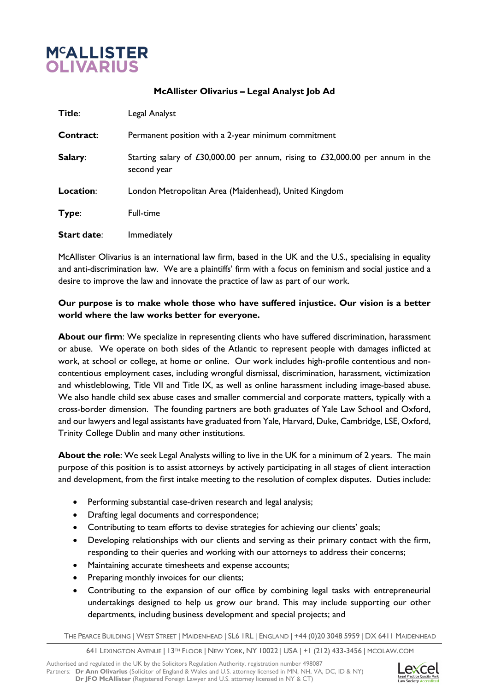

**McAllister Olivarius – Legal Analyst Job Ad**

| Title:             | Legal Analyst                                                                                 |
|--------------------|-----------------------------------------------------------------------------------------------|
| Contract:          | Permanent position with a 2-year minimum commitment                                           |
| Salary:            | Starting salary of £30,000.00 per annum, rising to £32,000.00 per annum in the<br>second year |
| Location:          | London Metropolitan Area (Maidenhead), United Kingdom                                         |
| Type:              | Full-time                                                                                     |
| <b>Start date:</b> | Immediately                                                                                   |

McAllister Olivarius is an international law firm, based in the UK and the U.S., specialising in equality and anti-discrimination law. We are a plaintiffs' firm with a focus on feminism and social justice and a desire to improve the law and innovate the practice of law as part of our work.

## **Our purpose is to make whole those who have suffered injustice. Our vision is a better world where the law works better for everyone.**

About our firm: We specialize in representing clients who have suffered discrimination, harassment or abuse. We operate on both sides of the Atlantic to represent people with damages inflicted at work, at school or college, at home or online. Our work includes high-profile contentious and noncontentious employment cases, including wrongful dismissal, discrimination, harassment, victimization and whistleblowing, Title VII and Title IX, as well as online harassment including image-based abuse. We also handle child sex abuse cases and smaller commercial and corporate matters, typically with a cross-border dimension. The founding partners are both graduates of Yale Law School and Oxford, and our lawyers and legal assistants have graduated from Yale, Harvard, Duke, Cambridge, LSE, Oxford, Trinity College Dublin and many other institutions.

**About the role**: We seek Legal Analysts willing to live in the UK for a minimum of 2 years. The main purpose of this position is to assist attorneys by actively participating in all stages of client interaction and development, from the first intake meeting to the resolution of complex disputes. Duties include:

- Performing substantial case-driven research and legal analysis;
- Drafting legal documents and correspondence;
- Contributing to team efforts to devise strategies for achieving our clients' goals;
- Developing relationships with our clients and serving as their primary contact with the firm, responding to their queries and working with our attorneys to address their concerns;
- Maintaining accurate timesheets and expense accounts;
- Preparing monthly invoices for our clients;
- Contributing to the expansion of our office by combining legal tasks with entrepreneurial undertakings designed to help us grow our brand. This may include supporting our other departments, including business development and special projects; and

THE PEARCE BUILDING | WEST STREET | MAIDENHEAD | SL6 1RL | ENGLAND | +44 (0)20 3048 5959 | DX 6411 MAIDENHEAD

641 LEXINGTON AVENUE | 13TH FLOOR | NEW YORK, NY 10022 | USA | +1 (212) 433-3456 | MCOLAW.COM